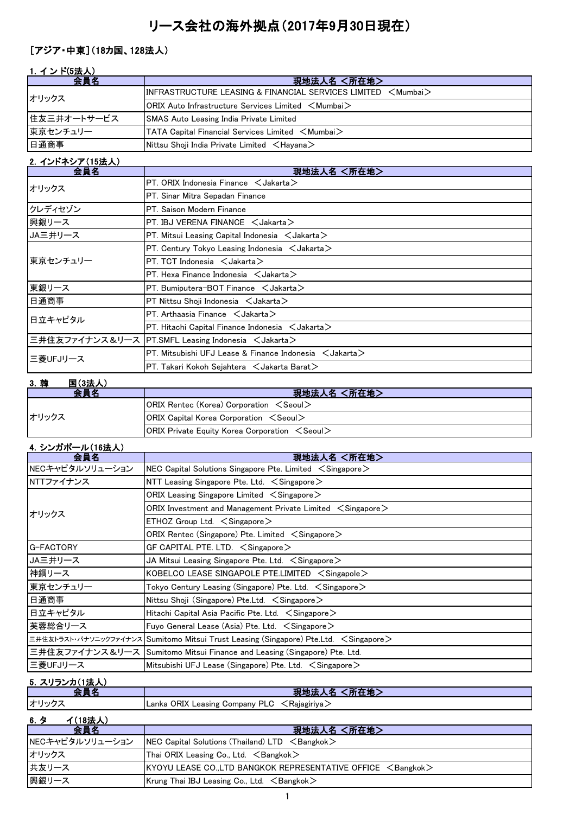# リース会社の海外拠点(2017年9月30日現在)

#### [アジア・中東](18カ国、128法人)

#### 1. インド(5法人)

| 会員名         | 現地法人名 <所在地>                                                           |
|-------------|-----------------------------------------------------------------------|
| オリックス       | $\textsf{IINFRASTRUCTURE LEASING & FINANCIAL SERIES LIMITED < Mumba}$ |
|             | $\sf{IORIX}$ Auto Infrastructure Services Limited $\,<$ Mumbai $>$    |
| 住友三井オートサービス | <b>SMAS Auto Leasing India Private Limited</b>                        |
| 東京センチュリー    | <b>TATA Capital Financial Services Limited <mumbai></mumbai></b>      |
| 日通商事        | Nittsu Shoji India Private Limited <hayana></hayana>                  |

### 2.インドネシア(15法人)

| 会員名      | 現地法人名 <所在地>                                                                |
|----------|----------------------------------------------------------------------------|
| オリックス    | PT. ORIX Indonesia Finance $\lt$ Jakarta $\gt$                             |
|          | PT. Sinar Mitra Sepadan Finance                                            |
| クレディセゾン  | PT. Saison Modern Finance                                                  |
| 興銀リース    | $PT$ . IBJ VERENA FINANCE $\lt$ Jakarta $>$                                |
| JA三井リース  | $PT.$ Mitsui Leasing Capital Indonesia $\lt$ Jakarta $\gt$                 |
|          | PT. Century Tokyo Leasing Indonesia $\leq$ Jakarta $\geq$                  |
| 東京センチュリー | $PT. TCT$ Indonesia $\lt$ Jakarta $\gt$                                    |
|          | $PT.$ Hexa Finance Indonesia $\lt$ Jakarta $\gt$                           |
| 東銀リース    | $PT.$ Bumiputera-BOT Finance $\lt$ Jakarta $>$                             |
| 日通商事     | $PT$ Nittsu Shoji Indonesia $\lt$ Jakarta $\gt$                            |
| 日立キャピタル  | PT. Arthaasia Finance $\lt$ Jakarta $\gt$                                  |
|          | $PT.$ Hitachi Capital Finance Indonesia $\lt$ Jakarta $>$                  |
|          | 三井住友ファイナンス&リース PT.SMFL Leasing Indonesia <jakarta></jakarta>               |
| 三菱UFJリース | $\,$ PT. Mitsubishi UFJ Lease & Finance Indonesia $\,$ $\,<$ Jakarta $\,>$ |
|          | $PT$ . Takari Kokoh Sejahtera $\prec$ Jakarta Barat $\gt$                  |

#### 3.韓 国(3法人) 会員名 マンファン マンファン アンプログラム 現地法人名 く所在地 シング ORIX Rentec (Korea) Corporation <Seoul> ORIX Capital Korea Corporation <Seoul> ORIX Private Equity Korea Corporation <Seoul> オリックス

#### 4.シンガポール(16法人)

| 会員名             | 現地法人名 <所在地>                                                                           |
|-----------------|---------------------------------------------------------------------------------------|
| NECキャピタルソリューション | NEC Capital Solutions Singapore Pte. Limited $\leq$ Singapore $\geq$                  |
| NTTファイナンス       | NTT Leasing Singapore Pte. Ltd. $\leq$ Singapore $\geq$                               |
|                 | ORIX Leasing Singapore Limited $\leq$ Singapore $>$                                   |
| オリックス           | ORIX Investment and Management Private Limited $\, <$ Singapore $>$                   |
|                 | $ETHOZ$ Group Ltd. $\leq$ Singapore $\geq$                                            |
|                 | ORIX Rentec (Singapore) Pte. Limited $\leq$ Singapore $\geq$                          |
| G-FACTORY       | GF CAPITAL PTE. LTD. $\leq$ Singapore $\geq$                                          |
| JA三井リース         | JA Mitsui Leasing Singapore Pte. Ltd. $\leq$ Singapore $\geq$                         |
| 神鋼リース           | KOBELCO LEASE SINGAPOLE PTE.LIMITED $\leq$ Singapole $\geq$                           |
| 東京センチュリー        | Tokyo Century Leasing (Singapore) Pte. Ltd. $\, <$ Singapore $>$                      |
| 日通商事            | Nittsu Shoji (Singapore) Pte.Ltd. $\leq$ Singapore $\geq$                             |
| 日立キャピタル         | Hitachi Capital Asia Pacific Pte. Ltd. $\leq$ Singapore $\geq$                        |
| 芙蓉総合リース         | Fuyo General Lease (Asia) Pte. Ltd. $\leq$ Singapore $\geq$                           |
|                 | 三井住友トラスト・パナソニックファイナンス Sumitomo Mitsui Trust Leasing (Singapore) Pte.Ltd. < Singapore> |
|                 | 三井住友ファイナンス&リース  Sumitomo Mitsui Finance and Leasing (Singapore) Pte. Ltd.             |
| 三菱UFJリース        | Mitsubishi UFJ Lease (Singapore) Pte. Ltd. $\leq$ Singapore $\geq$                    |

#### 5.スリランカ(1法人)

|      | <b><i>Communication</i></b><br>現地法<br>所在地                                                 |
|------|-------------------------------------------------------------------------------------------|
| オリック | 1 Lanka ORIX Leasing Company PLC $\,\,\tilde{}\,$<br>⊂ <rajagiriya <sub="">/</rajagiriya> |
|      |                                                                                           |

### 6.タ イ(18法人)

| 会員名             | 現地法人名 <所在地>                                                           |
|-----------------|-----------------------------------------------------------------------|
| NECキャピタルソリューション | $NEC$ Capital Solutions (Thailand) LTD $\leq$ Bangkok $>$             |
| オリックス           | Thai ORIX Leasing Co., Ltd. $\leq$ Bangkok $>$                        |
| 共友リース           | KYOYU LEASE CO.,LTD BANGKOK REPRESENTATIVE OFFICE <bangkok></bangkok> |
| 興銀リース           | Krung Thai IBJ Leasing Co., Ltd. $\leq$ Bangkok $>$                   |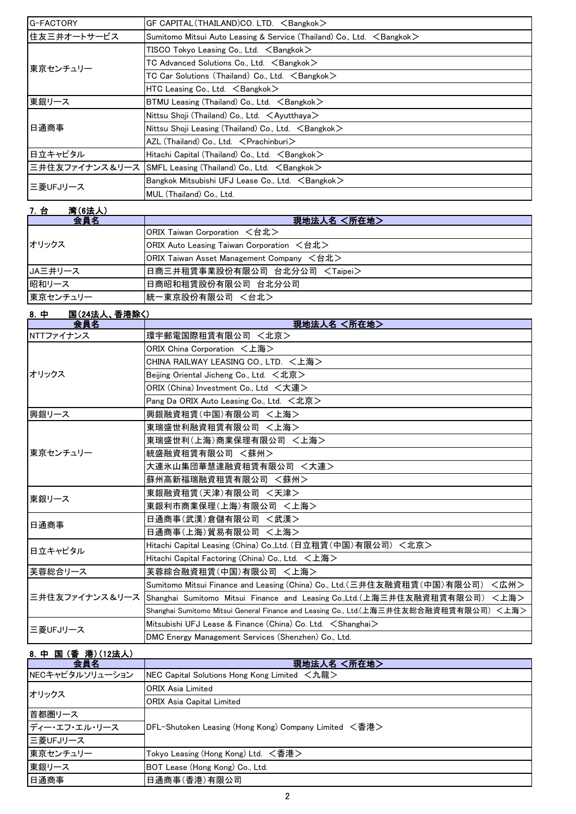| G-FACTORY   | GF CAPITAL (THAILAND)CO. LTD. $\leq$ Bangkok $>$                                |
|-------------|---------------------------------------------------------------------------------|
| 住友三井オートサービス | Sumitomo Mitsui Auto Leasing & Service (Thailand) Co., Ltd. <bangkok></bangkok> |
|             | TISCO Tokyo Leasing Co., Ltd. $\leq$ Bangkok $>$                                |
| 東京センチュリー    | TC Advanced Solutions Co., Ltd. $\leq$ Bangkok $>$                              |
|             | TC Car Solutions (Thailand) Co., Ltd. $\leq$ Bangkok $>$                        |
|             | HTC Leasing Co., Ltd. $\leq$ Bangkok $>$                                        |
| 東銀リース       | BTMU Leasing (Thailand) Co., Ltd. $\leq$ Bangkok $\geq$                         |
|             | Nittsu Shoji (Thailand) Co., Ltd. $\lt$ Ayutthaya $>$                           |
| 日通商事        | Nittsu Shoji Leasing (Thailand) Co., Ltd. <bangkok></bangkok>                   |
|             | AZL (Thailand) Co., Ltd. < Prachinburi>                                         |
| 日立キャピタル     | Hitachi Capital (Thailand) Co., Ltd. <bangkok></bangkok>                        |
|             | 三井住友ファイナンス&リース SMFL Leasing (Thailand) Co., Ltd. <bangkok></bangkok>            |
| 三菱UFJリース    | Bangkok Mitsubishi UFJ Lease Co., Ltd. $\leq$ Bangkok $\geq$                    |
|             | MUL (Thailand) Co., Ltd.                                                        |

| 7. 台<br><b>湾(6法人)</b> |                                           |
|-----------------------|-------------------------------------------|
| 会員名                   | 現地法人名 <所在地>                               |
|                       | ORIX Taiwan Corporation <台北>              |
| オリックス                 | ORIX Auto Leasing Taiwan Corporation <台北> |
|                       | ORIX Taiwan Asset Management Company <台北> |
| JA三井リース               | 日商三井租賃事業股份有限公司 台北分公司 <taipei></taipei>    |
| 昭和リース                 | 日商昭和租賃股份有限公司 台北分公司                        |
| 東京センチュリー              | 統一東京股份有限公司 <台北>                           |

### 8.中 国(24法人、香港除く)

| 会員名       | 現地法人名 <所在地>                                                                                |  |
|-----------|--------------------------------------------------------------------------------------------|--|
| NTTファイナンス | 環宇郵電国際租賃有限公司 <北京>                                                                          |  |
|           | ORIX China Corporation <上海>                                                                |  |
|           | CHINA RAILWAY LEASING CO., LTD. <上海>                                                       |  |
| オリックス     | Beijing Oriental Jicheng Co., Ltd. <北京>                                                    |  |
|           | ORIX (China) Investment Co., Ltd <大連>                                                      |  |
|           | Pang Da ORIX Auto Leasing Co., Ltd. <北京>                                                   |  |
| 興銀リース     | 興銀融資租賃(中国)有限公司 <上海>                                                                        |  |
|           | 東瑞盛世利融資租賃有限公司 <上海>                                                                         |  |
|           | 東瑞盛世利(上海)商業保理有限公司 <上海>                                                                     |  |
| 東京センチュリー  | 統盛融資租賃有限公司 <蘇州>                                                                            |  |
|           | 大連氷山集団華慧達融資租賃有限公司 <大連>                                                                     |  |
|           | 蘇州高新福瑞融資租賃有限公司 <蘇州>                                                                        |  |
| 東銀リース     | 東銀融資租賃(天津)有限公司 <天津>                                                                        |  |
|           | 東銀利市商業保理(上海)有限公司 <上海>                                                                      |  |
| 日通商事      | 日通商事(武漢)倉儲有限公司 <武漢>                                                                        |  |
|           | 日通商事(上海)貿易有限公司 <上海>                                                                        |  |
| 日立キャピタル   | Hitachi Capital Leasing (China) Co.,Ltd. (日立租賃 (中国) 有限公司) <北京>                             |  |
|           | Hitachi Capital Factoring (China) Co., Ltd. < 上海>                                          |  |
| 芙蓉総合リース   | 芙蓉綜合融資租賃(中国)有限公司 <上海>                                                                      |  |
|           | Sumitomo Mitsui Finance and Leasing (China) Co., Ltd. (三井住友融資租賃 (中国) 有限公司)<br><広州>         |  |
|           | 三井住友ファイナンス&リース  Shanghai Sumitomo Mitsui Finance and Leasing Co.,Ltd.(上海三井住友融資租賃有限公司) <上海> |  |
|           | Shanghai Sumitomo Mitsui General Finance and Leasing Co., Ltd.(上海三井住友総合融資租賃有限公司) <上海>      |  |
| 三菱UFJリース  | Mitsubishi UFJ Lease & Finance (China) Co. Ltd. < Shanghai>                                |  |
|           | DMC Energy Management Services (Shenzhen) Co., Ltd.                                        |  |

### 8.中 国 (香 港)(12法人)

| 会員名             | 現地法人名 <所在地>                                           |  |
|-----------------|-------------------------------------------------------|--|
| NECキャピタルソリューション | NEC Capital Solutions Hong Kong Limited <九龍>          |  |
| オリックス           | <b>ORIX Asia Limited</b>                              |  |
|                 | <b>ORIX Asia Capital Limited</b>                      |  |
| 首都圏リース          |                                                       |  |
| ディー・エフ・エル・リース   | DFL-Shutoken Leasing (Hong Kong) Company Limited <香港> |  |
| 三菱UFJリース        |                                                       |  |
| 東京センチュリー        | Tokyo Leasing (Hong Kong) Ltd. <香港>                   |  |
| 東銀リース           | BOT Lease (Hong Kong) Co., Ltd.                       |  |
| 日通商事            | 日通商事(香港)有限公司                                          |  |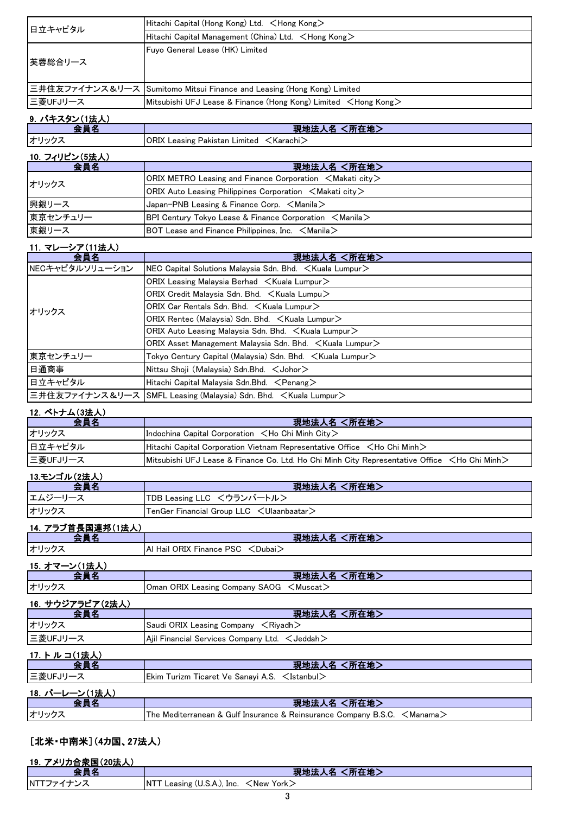|                 | Hitachi Capital (Hong Kong) Ltd. <hong kong=""></hong>                   |
|-----------------|--------------------------------------------------------------------------|
| 日立キャピタル         | Hitachi Capital Management (China) Ltd. <hong kong=""></hong>            |
| 芙蓉総合リース         | Fuyo General Lease (HK) Limited                                          |
| 三井住友ファイナンス&リース  | Sumitomo Mitsui Finance and Leasing (Hong Kong) Limited                  |
| 三菱UFJリース        | Mitsubishi UFJ Lease & Finance (Hong Kong) Limited <hong kong=""></hong> |
| 9. パキスタン(1法人)   |                                                                          |
| 会員名             | 現地法人名 <所在地>                                                              |
| オリックス           | ORIX Leasing Pakistan Limited <karachi></karachi>                        |
| 10. フィリピン(5法人)  |                                                                          |
| 会員名             | 現地法人名 <所在地>                                                              |
| オリックス           | ORIX METRO Leasing and Finance Corporation $\leq$ Makati city $\geq$     |
|                 | ORIX Auto Leasing Philippines Corporation $\,$ $<$ Makati city $\,>$     |
| 興銀リース           | Japan-PNB Leasing & Finance Corp. $\,<$ Manila $>$                       |
| 東京センチュリー        | BPI Century Tokyo Lease & Finance Corporation <manila></manila>          |
| 東銀リース           | BOT Lease and Finance Philippines, Inc. $\leq$ Manila $\geq$             |
| 11. マレーシア(11法人) |                                                                          |
| 会員名             | 現地法人名 <所在地>                                                              |
| NECキャピタルソリューション | NEC Capital Solutions Malaysia Sdn. Bhd. < Kuala Lumpur>                 |
|                 | ORIX Leasing Malaysia Berhad $\, <$ Kuala Lumpur $>$                     |
|                 | ORIX Credit Malaysia Sdn. Bhd. <kuala lumpu=""></kuala>                  |
| オリックス           | ORIX Car Rentals Sdn. Bhd. $\, <$ Kuala Lumpur $>$                       |
|                 | ORIX Rentec (Malaysia) Sdn. Bhd. <kuala lumpur=""></kuala>               |
|                 | ORIX Auto Leasing Malaysia Sdn. Bhd. ∠Kuala Lumpur>                      |
|                 | ORIX Asset Management Malaysia Sdn. Bhd. ∠Kuala Lumpur>                  |
| 東京センチュリー        | Tokyo Century Capital (Malaysia) Sdn. Bhd. < Kuala Lumpur>               |

| 三井住友ファイナンス&リース SMFL Leasing (Malaysia) Sdn. Bhd. <kuala lumpur=""></kuala> |  |
|----------------------------------------------------------------------------|--|

日通商事 Nittsu Shoji (Malaysia) Sdn.Bhd. <Johor> **日立キャピタル Hitachi Capital Malaysia Sdn.Bhd.** <Penang>

#### 12.ベトナム(3法人)

| 会員名      | 現地法人名 <所在地>                                                                                  |  |
|----------|----------------------------------------------------------------------------------------------|--|
| オリックス    | Indochina Capital Corporation $\lt$ Ho Chi Minh City $\gt$                                   |  |
| 日立キャピタル  | Hitachi Capital Corporation Vietnam Representative Office <ho chi="" minh=""></ho>           |  |
| 三菱UFJリース | Mitsubishi UFJ Lease & Finance Co. Ltd. Ho Chi Minh City Representative Office ∠Ho Chi Minh> |  |

### 13.モンゴル(2法人)

| 스듬성     | 現地法人名 <所在地>                               |
|---------|-------------------------------------------|
| エムジーリース | TDB Leasing LLC <ウランバートル>                 |
| オリックス   | TenGer Financial Group LLC < Ulaanbaatar> |

### 14.アラブ首長国連邦(1法人)

|               | 現地法人名 <所在地>                       |
|---------------|-----------------------------------|
| オリックス         | Al Hail ORIX Finance PSC < Dubai> |
| 15. オマーン(1法人) |                                   |

| .     | 【所在地】<br>現地法                                     |
|-------|--------------------------------------------------|
| オリックス | Oman ORIX Leasing Company SAOG <muscat></muscat> |
|       |                                                  |

#### 16.サウジアラビア(2法人) 会員名 現地法人名 <所在地> オリックス Saudi ORIX Leasing Company <Riyadh> 三菱UFJリース Ajil Financial Services Company Ltd. <Jeddah>

### 17.トルコ(1法人)

| 会員名            | 現地法人名 <所在地>                                                                       |
|----------------|-----------------------------------------------------------------------------------|
| 三菱UFJリース       | Ekim Turizm Ticaret Ve Sanayi A.S. $\leq$ Istanbul $\geq$                         |
| 18. バーレーン(1法人) |                                                                                   |
|                | 現地法人名 <所在地>                                                                       |
| オリックス          | The Mediterranean & Gulf Insurance & Reinsurance Company B.S.C. $\leq$ Manama $>$ |

#### [北米・中南米](4カ国、27法人)

| 19. アメリカ合衆国(20法人) |                                                     |
|-------------------|-----------------------------------------------------|
|                   | 〈所在地〉<br>現地法人名                                      |
| <b>INTTファイナンス</b> | Leasing (U.S.A.), Inc. $\lt$ New York $\gt$<br>INTT |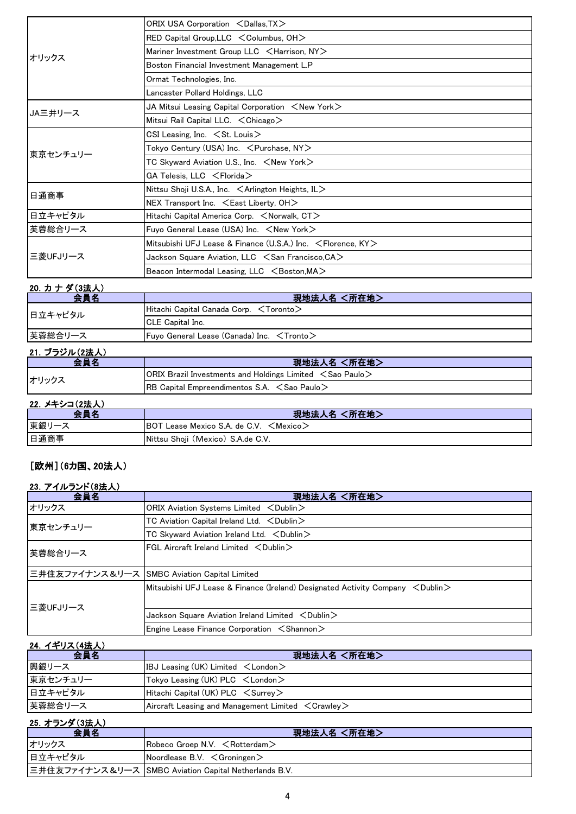| オリックス    | ORIX USA Corporation <dallas, tx=""></dallas,>                       |
|----------|----------------------------------------------------------------------|
|          | RED Capital Group, LLC < Columbus, OH>                               |
|          | Mariner Investment Group LLC <harrison, ny=""></harrison,>           |
|          | Boston Financial Investment Management L.P                           |
|          | Ormat Technologies, Inc.                                             |
|          | Lancaster Pollard Holdings, LLC                                      |
|          | JA Mitsui Leasing Capital Corporation $\leq$ New York $\geq$         |
| JA三井リース  | Mitsui Rail Capital LLC. $\lt$ Chicago $\gt$                         |
|          | CSI Leasing, Inc. $\leq$ St. Louis $\geq$                            |
| 東京センチュリー | Tokyo Century (USA) Inc. <purchase, ny=""></purchase,>               |
|          | TC Skyward Aviation U.S., Inc. <new york=""></new>                   |
|          | GA Telesis, LLC <florida></florida>                                  |
| 日通商事     | Nittsu Shoji U.S.A., Inc. $\leq$ Arlington Heights, IL $>$           |
|          | NEX Transport Inc. $\leq$ East Liberty, OH $>$                       |
| 日立キャピタル  | Hitachi Capital America Corp. <norwalk, ct=""></norwalk,>            |
| 芙蓉総合リース  | Fuyo General Lease (USA) Inc. $\leq$ New York $\geq$                 |
| 三菱UFJリース | Mitsubishi UFJ Lease & Finance (U.S.A.) Inc. $\leq$ Florence, KY $>$ |
|          | Jackson Square Aviation, LLC $\leq$ San Francisco, CA $>$            |
|          | Beacon Intermodal Leasing, LLC <boston, ma=""></boston,>             |

### 20. カナダ(3法人)

| 会員名     | 現地法人名 <所在地>                                           |
|---------|-------------------------------------------------------|
| 日立キャピタル | Hitachi Capital Canada Corp. <toronto></toronto>      |
|         | <b>CLE Capital Inc.</b>                               |
| 芙蓉総合リース | Fuyo General Lease (Canada) Inc. $\leq$ Tronto $\geq$ |

## 21.ブラジル(2法人)

| 会員名   | 現地法人名 <所在地>                                                             |
|-------|-------------------------------------------------------------------------|
| オリックス | $ ORIX$ Brazil Investments and Holdings Limited $\leq$ Sao Paulo $\geq$ |
|       | <b>IRB Capital Empreendimentos S.A.</b> $\leq$ Sao Paulo $\geq$         |

### 22.メキシコ(2法人)

| 会員名  | (所在地)<br>現地法人名                                          |
|------|---------------------------------------------------------|
| 東銀リー | IBOT !<br>ˈ Lease Mexico S.A. de C.V. <mexico></mexico> |
| 日通商事 | Nittsu Shoji (Mexico) S.A.de C.V.                       |

### [欧州](6カ国、20法人)

#### 23. アイルランド(8法人)

| 会員名      | 現地法人名 <所在地>                                                                            |
|----------|----------------------------------------------------------------------------------------|
| オリックス    | ORIX Aviation Systems Limited <dublin></dublin>                                        |
| 東京センチュリー | TC Aviation Capital Ireland Ltd. $\lt$ Dublin $\gt$                                    |
|          | TC Skyward Aviation Ireland Ltd. < Dublin>                                             |
| 芙蓉総合リース  | $FGL$ Aircraft Ireland Limited $\langle$ Dublin $\rangle$                              |
|          | 三井住友ファイナンス&リース SMBC Aviation Capital Limited                                           |
| 三菱UFJリース | Mitsubishi UFJ Lease & Finance (Ireland) Designated Activity Company $\leq$ Dublin $>$ |
|          | Jackson Square Aviation Ireland Limited <dublin></dublin>                              |
|          | Engine Lease Finance Corporation $\leq$ Shannon $\geq$                                 |

## 24. イギリス(4法人)

| 会員名      | 現地法人名 <所在地>                                                         |
|----------|---------------------------------------------------------------------|
| 興銀リース    | IBJ Leasing (UK) Limited $\lt$ London $\gt$                         |
| 東京センチュリー | Tokyo Leasing (UK) $PLC \leq$ London $>$                            |
| 日立キャピタル  | Hitachi Capital (UK) $PLC \leq$ Surrey $>$                          |
| 芙蓉総合リース  | Aircraft Leasing and Management Limited $\langle$ Crawley $\rangle$ |

#### 25.オランダ(3法人)

| 会員名     | 現地法人名 <所在地>                                               |
|---------|-----------------------------------------------------------|
| オリックス   | $\sf IR$ obeco Groep N.V. $<$ Rotterdam $>$               |
| 日立キャピタル | $\sqrt{\frac{1}{2}}$ Noordlease B.V. $\leq$ Groningen $>$ |
|         | 三井住友ファイナンス&リース SMBC Aviation Capital Netherlands B.V.     |